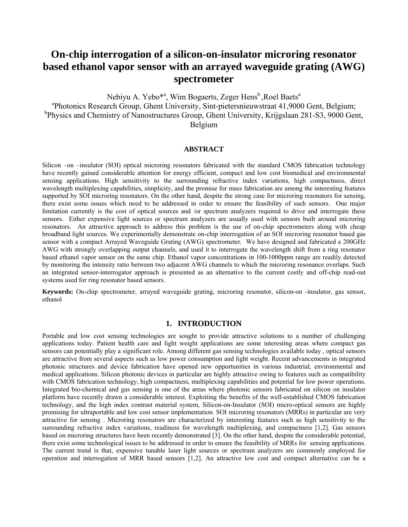# **On-chip interrogation of a silicon-on-insulator microring resonator based ethanol vapor sensor with an arrayed waveguide grating (AWG) spectrometer**

Nebiyu A. Yebo<sup>\*a</sup>, Wim Bogaerts, Zeger Hens<sup>b</sup>, Roel Baets<sup>a</sup> a Photonics Research Group, Ghent University, Sint-pietersnieuwstraat 41,9000 Gent, Belgium; <sup>b</sup>Physics and Chemistry of Nanostructures Group, Ghent University, Krijgslaan 281-S3, 9000 Gent, Belgium

### **ABSTRACT**

Silicon –on –insulator (SOI) optical microring resonators fabricated with the standard CMOS fabrication technology have recently gained considerable attention for energy efficient, compact and low cost biomedical and environmental sensing applications. High sensitivity to the surrounding refractive index variations, high compactness, direct wavelength multiplexing capabilities, simplicity, and the promise for mass fabrication are among the interesting features supported by SOI microring resonators. On the other hand, despite the strong case for microring resonators for sensing, there exist some issues which need to be addressed in order to ensure the feasibility of such sensors. One major limitation currently is the cost of optical sources and /or spectrum analyzers required to drive and interrogate these sensors. Either expensive light sources or spectrum analyzers are usually used with sensors built around microring resonators. An attractive approach to address this problem is the use of on-chip spectrometers along with cheap broadband light sources. We experimentally demonstrate on-chip interrogation of an SOI microring resonator based gas sensor with a compact Arrayed Waveguide Grating (AWG) spectrometer. We have designed and fabricated a 200GHz AWG with strongly overlapping output channels, and used it to interrogate the wavelength shift from a ring resonator based ethanol vapor sensor on the same chip. Ethanol vapor concentrations in 100-1000ppm range are readily detected by monitoring the intensity ratio between two adjacent AWG channels to which the microring resonance overlaps. Such an integrated sensor-interrogator approach is presented as an alternative to the current costly and off-chip read-out systems used for ring resonator based sensors.

**Keywords:** On-chip spectrometer, arrayed waveguide grating, microring resonator, silicon-on -insulator, gas sensor, ethanol

## **1. INTRODUCTION**

Portable and low cost sensing technologies are sought to provide attractive solutions to a number of challenging applications today. Patient health care and light weight applications are some interesting areas where compact gas sensors can potentially play a significant role. Among different gas sensing technologies available today , optical sensors are attractive from several aspects such as low power consumption and light weight. Recent advancements in integrated photonic structures and device fabrication have opened new opportunities in various industrial, environmental and medical applications. Silicon photonic devices in particular are highly attractive owing to features such as compatibility with CMOS fabrication technology, high compactness, multiplexing capabilities and potential for low power operations. Integrated bio-chemical and gas sensing is one of the areas where photonic sensors fabricated on silicon on insulator platform have recently drawn a considerable interest. Exploiting the benefits of the well-established CMOS fabrication technology, and the high index contrast material system, Silicon-on-Insulator (SOI) micro-optical sensors are highly promising for ultraportable and low cost sensor implementation. SOI microring resonators (MRRs) in particular are very attractive for sensing . Microring resonators are characterized by interesting features such as high sensitivity to the surrounding refractive index variations, readiness for wavelength multiplexing, and compactness [1,2]. Gas sensors based on microring structures have been recently demonstrated [3]. On the other hand, despite the considerable potential, there exist some technological issues to be addressed in order to ensure the feasibility of MRRs for sensing applications. The current trend is that, expensive tunable laser light sources or spectrum analyzers are commonly employed for operation and interrogation of MRR based sensors [1,2]. An attractive low cost and compact alternative can be a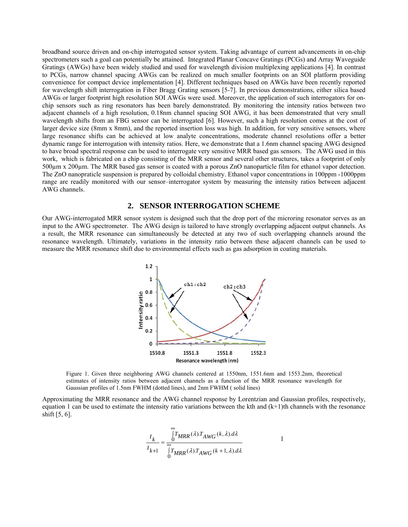broadband source driven and on-chip interrogated sensor system. Taking advantage of current advancements in on-chip spectrometers such a goal can potentially be attained. Integrated Planar Concave Gratings (PCGs) and Array Waveguide Gratings (AWGs) have been widely studied and used for wavelength division multiplexing applications [4]. In contrast to PCGs, narrow channel spacing AWGs can be realized on much smaller footprints on an SOI platform providing convenience for compact device implementation [4]. Different techniques based on AWGs have been recently reported for wavelength shift interrogation in Fiber Bragg Grating sensors [5-7]. In previous demonstrations, either silica based AWGs or larger footprint high resolution SOI AWGs were used. Moreover, the application of such interrogators for onchip sensors such as ring resonators has been barely demonstrated. By monitoring the intensity ratios between two adjacent channels of a high resolution, 0.18nm channel spacing SOI AWG, it has been demonstrated that very small wavelength shifts from an FBG sensor can be interrogated [6]. However, such a high resolution comes at the cost of larger device size (8mm x 8mm), and the reported insertion loss was high. In addition, for very sensitive sensors, where large resonance shifts can be achieved at low analyte concentrations, moderate channel resolutions offer a better dynamic range for interrogation with intensity ratios. Here, we demonstrate that a 1.6nm channel spacing AWG designed to have broad spectral response can be used to interrogate very sensitive MRR based gas sensors. The AWG used in this work, which is fabricated on a chip consisting of the MRR sensor and several other structures, takes a footprint of only 500µm x 200µm. The MRR based gas sensor is coated with a porous ZnO nanoparticle film for ethanol vapor detection. The ZnO nanopraticle suspension is prepared by colloidal chemistry. Ethanol vapor concentrations in 100ppm -1000ppm range are readily monitored with our sensor–interrogator system by measuring the intensity ratios between adjacent AWG channels.

## **2. SENSOR INTERROGATION SCHEME**

Our AWG-interrogated MRR sensor system is designed such that the drop port of the microring resonator serves as an input to the AWG spectrometer. The AWG design is tailored to have strongly overlapping adjacent output channels. As a result, the MRR resonance can simultaneously be detected at any two of such overlapping channels around the resonance wavelength. Ultimately, variations in the intensity ratio between these adjacent channels can be used to measure the MRR resonance shift due to environmental effects such as gas adsorption in coating materials.



Figure 1. Given three neighboring AWG channels centered at 1550nm, 1551.6nm and 1553.2nm, theoretical estimates of intensity ratios between adjacent channels as a function of the MRR resonance wavelength for Gaussian profiles of 1.5nm FWHM (dotted lines), and 2nm FWHM ( solid lines)

Approximating the MRR resonance and the AWG channel response by Lorentzian and Gaussian profiles, respectively, equation 1 can be used to estimate the intensity ratio variations between the kth and  $(k+1)$ th channels with the resonance shift [5, 6].

$$
\frac{I_k}{I_{k+1}} = \frac{\int_{0}^{\infty} T_{MRR}(\lambda) T_{AWG}(k,\lambda) d\lambda}{\int_{0}^{\infty} T_{MRR}(\lambda) T_{AWG}(k+1,\lambda) d\lambda} \qquad 1
$$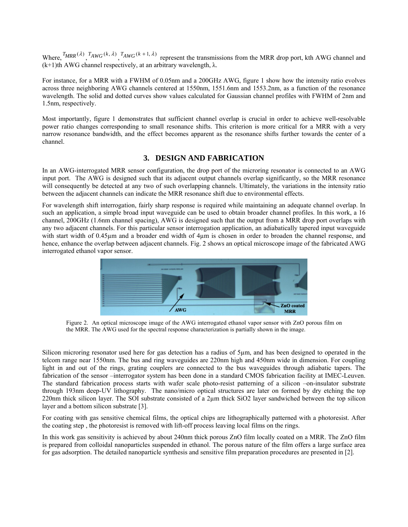Where,  $^{T}MRR^{(\lambda)}$ ,  $^{T}AWG^{(k,\lambda)}$ ,  $^{T}AWG^{(k+1,\lambda)}$  represent the transmissions from the MRR drop port, kth AWG channel and  $(k+1)$ th AWG channel respectively, at an arbitrary wavelength,  $\lambda$ .

For instance, for a MRR with a FWHM of 0.05nm and a 200GHz AWG, figure 1 show how the intensity ratio evolves across three neighboring AWG channels centered at 1550nm, 1551.6nm and 1553.2nm, as a function of the resonance wavelength. The solid and dotted curves show values calculated for Gaussian channel profiles with FWHM of 2nm and 1.5nm, respectively.

Most importantly, figure 1 demonstrates that sufficient channel overlap is crucial in order to achieve well-resolvable power ratio changes corresponding to small resonance shifts. This criterion is more critical for a MRR with a very narrow resonance bandwidth, and the effect becomes apparent as the resonance shifts further towards the center of a channel.

## **3. DESIGN AND FABRICATION**

In an AWG-interrogated MRR sensor configuration, the drop port of the microring resonator is connected to an AWG input port. The AWG is designed such that its adjacent output channels overlap significantly, so the MRR resonance will consequently be detected at any two of such overlapping channels. Ultimately, the variations in the intensity ratio between the adjacent channels can indicate the MRR resonance shift due to environmental effects.

For wavelength shift interrogation, fairly sharp response is required while maintaining an adequate channel overlap. In such an application, a simple broad input waveguide can be used to obtain broader channel profiles. In this work, a 16 channel, 200GHz (1.6nm channel spacing), AWG is designed such that the output from a MRR drop port overlaps with any two adjacent channels. For this particular sensor interrogation application, an adiabatically tapered input waveguide with start width of 0.45µm and a broader end width of 4µm is chosen in order to broaden the channel response, and hence, enhance the overlap between adjacent channels. Fig. 2 shows an optical microscope image of the fabricated AWG interrogated ethanol vapor sensor.



Figure 2. An optical microscope image of the AWG interrogated ethanol vapor sensor with ZnO porous film on the MRR. The AWG used for the spectral response characterization is partially shown in the image.

Silicon microring resonator used here for gas detection has a radius of 5µm, and has been designed to operated in the telcom range near 1550nm. The bus and ring waveguides are 220nm high and 450nm wide in dimension. For coupling light in and out of the rings, grating couplers are connected to the bus waveguides through adiabatic tapers. The fabrication of the sensor –interrogator system has been done in a standard CMOS fabrication facility at IMEC-Leuven. The standard fabrication process starts with wafer scale photo-resist patterning of a silicon –on-insulator substrate through 193nm deep-UV lithography. The nano/micro optical structures are later on formed by dry etching the top 220nm thick silicon layer. The SOI substrate consisted of a 2µm thick SiO2 layer sandwiched between the top silicon layer and a bottom silicon substrate [3].

For coating with gas sensitive chemical films, the optical chips are lithographically patterned with a photoresist. After the coating step , the photoresist is removed with lift-off process leaving local films on the rings.

In this work gas sensitivity is achieved by about 240nm thick porous ZnO film locally coated on a MRR. The ZnO film is prepared from colloidal nanoparticles suspended in ethanol. The porous nature of the film offers a large surface area for gas adsorption. The detailed nanoparticle synthesis and sensitive film preparation procedures are presented in [2].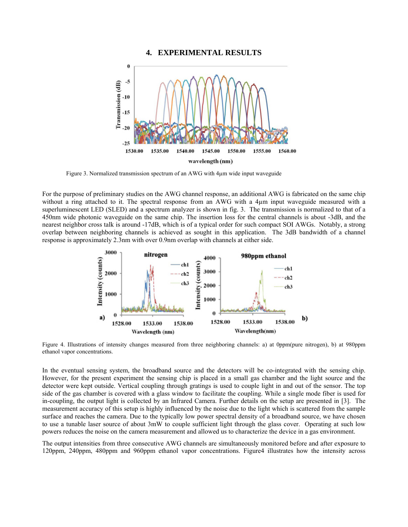## **4. EXPERIMENTAL RESULTS**



Figure 3. Normalized transmission spectrum of an AWG with 4µm wide input waveguide

For the purpose of preliminary studies on the AWG channel response, an additional AWG is fabricated on the same chip without a ring attached to it. The spectral response from an AWG with a 4µm input waveguide measured with a superluminescent LED (SLED) and a spectrum analyzer is shown in fig. 3. The transmission is normalized to that of a 450nm wide photonic waveguide on the same chip. The insertion loss for the central channels is about -3dB, and the nearest neighbor cross talk is around -17dB, which is of a typical order for such compact SOI AWGs. Notably, a strong overlap between neighboring channels is achieved as sought in this application. The 3dB bandwidth of a channel response is approximately 2.3nm with over 0.9nm overlap with channels at either side.



Figure 4. Illustrations of intensity changes measured from three neighboring channels: a) at 0ppm(pure nitrogen), b) at 980ppm ethanol vapor concentrations.

In the eventual sensing system, the broadband source and the detectors will be co-integrated with the sensing chip. However, for the present experiment the sensing chip is placed in a small gas chamber and the light source and the detector were kept outside. Vertical coupling through gratings is used to couple light in and out of the sensor. The top side of the gas chamber is covered with a glass window to facilitate the coupling. While a single mode fiber is used for in-coupling, the output light is collected by an Infrared Camera. Further details on the setup are presented in [3]. The measurement accuracy of this setup is highly influenced by the noise due to the light which is scattered from the sample surface and reaches the camera. Due to the typically low power spectral density of a broadband source, we have chosen to use a tunable laser source of about 3mW to couple sufficient light through the glass cover. Operating at such low powers reduces the noise on the camera measurement and allowed us to characterize the device in a gas environment.

The output intensities from three consecutive AWG channels are simultaneously monitored before and after exposure to 120ppm, 240ppm, 480ppm and 960ppm ethanol vapor concentrations. Figure4 illustrates how the intensity across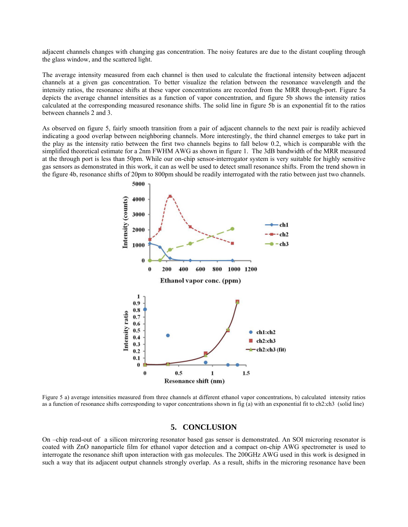adjacent channels changes with changing gas concentration. The noisy features are due to the distant coupling through the glass window, and the scattered light.

The average intensity measured from each channel is then used to calculate the fractional intensity between adjacent channels at a given gas concentration. To better visualize the relation between the resonance wavelength and the intensity ratios, the resonance shifts at these vapor concentrations are recorded from the MRR through-port. Figure 5a depicts the average channel intensities as a function of vapor concentration, and figure 5b shows the intensity ratios calculated at the corresponding measured resonance shifts. The solid line in figure 5b is an exponential fit to the ratios between channels 2 and 3.

As observed on figure 5, fairly smooth transition from a pair of adjacent channels to the next pair is readily achieved indicating a good overlap between neighboring channels. More interestingly, the third channel emerges to take part in the play as the intensity ratio between the first two channels begins to fall below 0.2, which is comparable with the simplified theoretical estimate for a 2nm FWHM AWG as shown in figure 1. The 3dB bandwidth of the MRR measured at the through port is less than 50pm. While our on-chip sensor-interrogator system is very suitable for highly sensitive gas sensors as demonstrated in this work, it can as well be used to detect small resonance shifts. From the trend shown in the figure 4b, resonance shifts of 20pm to 800pm should be readily interrogated with the ratio between just two channels.



Figure 5 a) average intensities measured from three channels at different ethanol vapor concentrations, b) calculated intensity ratios as a function of resonance shifts corresponding to vapor concentrations shown in fig (a) with an exponential fit to ch2:ch3 (solid line)

#### **5. CONCLUSION**

On –chip read-out of a silicon mircroring resonator based gas sensor is demonstrated. An SOI microring resonator is coated with ZnO nanoparticle film for ethanol vapor detection and a compact on-chip AWG spectrometer is used to interrogate the resonance shift upon interaction with gas molecules. The 200GHz AWG used in this work is designed in such a way that its adjacent output channels strongly overlap. As a result, shifts in the microring resonance have been